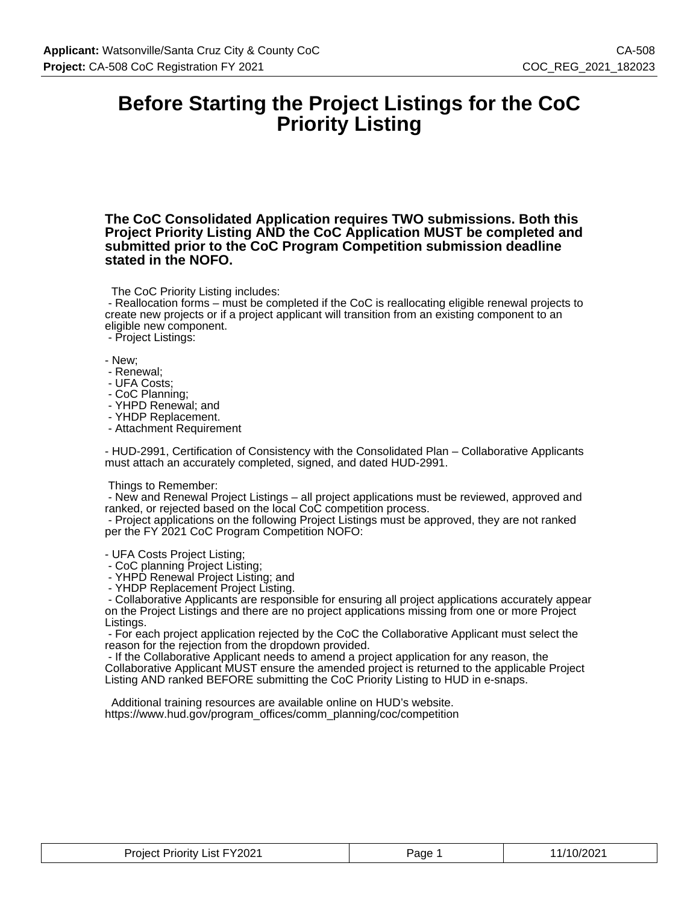### **Before Starting the Project Listings for the CoC Priority Listing**

**The CoC Consolidated Application requires TWO submissions. Both this Project Priority Listing AND the CoC Application MUST be completed and submitted prior to the CoC Program Competition submission deadline stated in the NOFO.**

The CoC Priority Listing includes:

 - Reallocation forms – must be completed if the CoC is reallocating eligible renewal projects to create new projects or if a project applicant will transition from an existing component to an eligible new component.

- Project Listings:

- New;

- Renewal;
- UFA Costs;
- CoC Planning;
- YHPD Renewal; and
- YHDP Replacement.
- Attachment Requirement

- HUD-2991, Certification of Consistency with the Consolidated Plan – Collaborative Applicants must attach an accurately completed, signed, and dated HUD-2991.

#### Things to Remember:

 - New and Renewal Project Listings – all project applications must be reviewed, approved and ranked, or rejected based on the local CoC competition process.

 - Project applications on the following Project Listings must be approved, they are not ranked per the FY 2021 CoC Program Competition NOFO:

- UFA Costs Project Listing;

- CoC planning Project Listing;

- YHPD Renewal Project Listing; and

- YHDP Replacement Project Listing.

 - Collaborative Applicants are responsible for ensuring all project applications accurately appear on the Project Listings and there are no project applications missing from one or more Project Listings.

 - For each project application rejected by the CoC the Collaborative Applicant must select the reason for the rejection from the dropdown provided.

 - If the Collaborative Applicant needs to amend a project application for any reason, the Collaborative Applicant MUST ensure the amended project is returned to the applicable Project Listing AND ranked BEFORE submitting the CoC Priority Listing to HUD in e-snaps.

 Additional training resources are available online on HUD's website. https://www.hud.gov/program\_offices/comm\_planning/coc/competition

| List FY2021<br>Project<br>` Prioritv .<br>______<br>______ | Page | 10/202'<br>. .<br>$\cdots$ |
|------------------------------------------------------------|------|----------------------------|
|------------------------------------------------------------|------|----------------------------|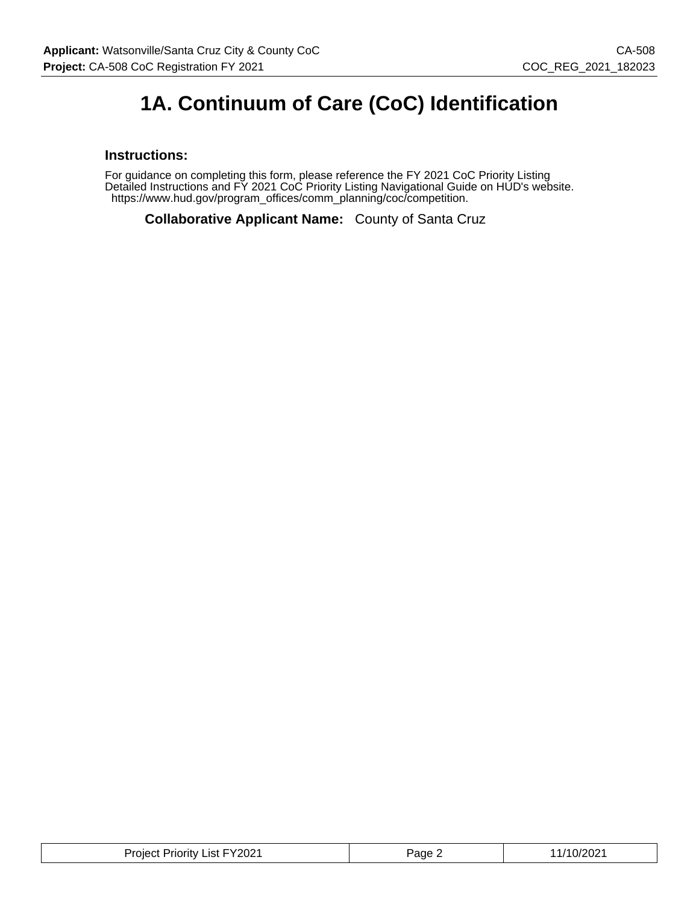### **1A. Continuum of Care (CoC) Identification**

#### **Instructions:**

For guidance on completing this form, please reference the FY 2021 CoC Priority Listing Detailed Instructions and FY 2021 CoC Priority Listing Navigational Guide on HUD's website. https://www.hud.gov/program\_offices/comm\_planning/coc/competition.

**Collaborative Applicant Name:** County of Santa Cruz

| <b>Project Priority List FY2021</b> | Page $\sim$ | 11/10/2021 |
|-------------------------------------|-------------|------------|
|-------------------------------------|-------------|------------|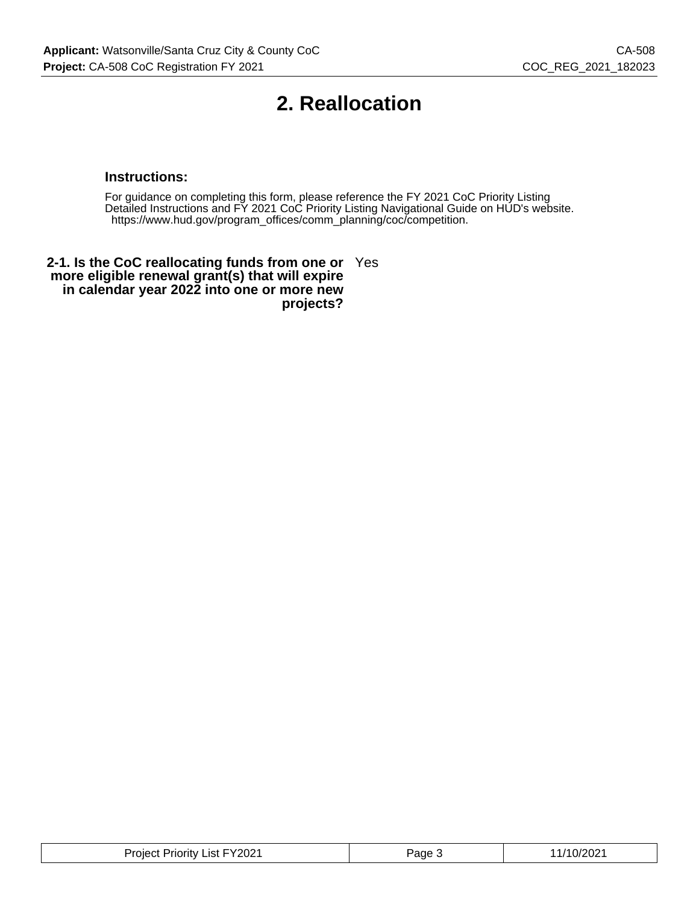## **2. Reallocation**

#### **Instructions:**

For guidance on completing this form, please reference the FY 2021 CoC Priority Listing Detailed Instructions and FY 2021 CoC Priority Listing Navigational Guide on HUD's website. https://www.hud.gov/program\_offices/comm\_planning/coc/competition.

**2-1. Is the CoC reallocating funds from one or** Yes **more eligible renewal grant(s) that will expire in calendar year 2022 into one or more new projects?**

| List FY2021 <b>.</b><br>Project<br>riority | Page | '10/20∠ |
|--------------------------------------------|------|---------|
|--------------------------------------------|------|---------|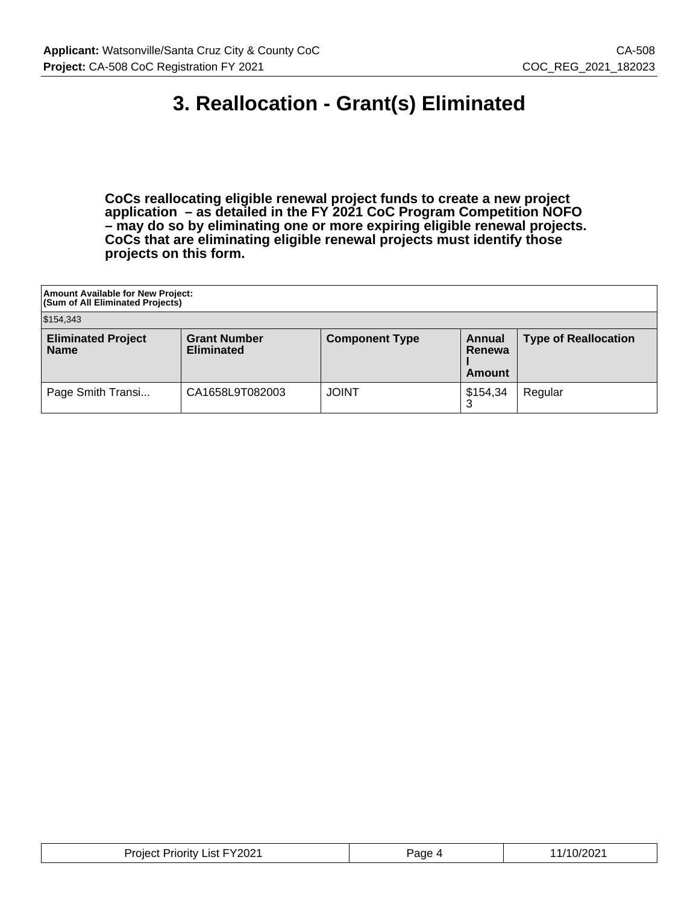### **3. Reallocation - Grant(s) Eliminated**

**CoCs reallocating eligible renewal project funds to create a new project application – as detailed in the FY 2021 CoC Program Competition NOFO – may do so by eliminating one or more expiring eligible renewal projects. CoCs that are eliminating eligible renewal projects must identify those projects on this form.**

| Amount Available for New Project:<br><b>(Sum of All Eliminated Projects)</b> |                                          |                       |                            |                             |  |  |
|------------------------------------------------------------------------------|------------------------------------------|-----------------------|----------------------------|-----------------------------|--|--|
| \$154,343                                                                    |                                          |                       |                            |                             |  |  |
| <b>Eliminated Project</b><br><b>Name</b>                                     | <b>Grant Number</b><br><b>Eliminated</b> | <b>Component Type</b> | Annual<br>Renewa<br>Amount | <b>Type of Reallocation</b> |  |  |
| Page Smith Transi                                                            | CA1658L9T082003                          | <b>JOINT</b>          | \$154,34                   | Regular                     |  |  |

| Project Priority List FY2021 | Page | /10/2021 |
|------------------------------|------|----------|
|                              | ∼    | _____    |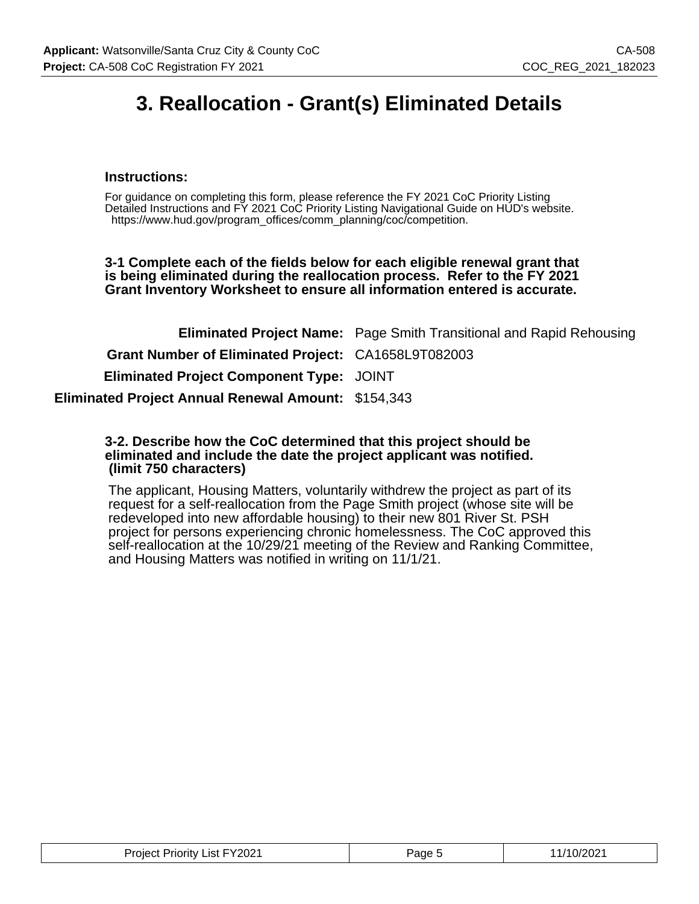## **3. Reallocation - Grant(s) Eliminated Details**

#### **Instructions:**

For guidance on completing this form, please reference the FY 2021 CoC Priority Listing Detailed Instructions and FY 2021 CoC Priority Listing Navigational Guide on HUD's website. https://www.hud.gov/program\_offices/comm\_planning/coc/competition.

**3-1 Complete each of the fields below for each eligible renewal grant that is being eliminated during the reallocation process. Refer to the FY 2021 Grant Inventory Worksheet to ensure all information entered is accurate.**

|                                                            | <b>Eliminated Project Name:</b> Page Smith Transitional and Rapid Rehousing |
|------------------------------------------------------------|-----------------------------------------------------------------------------|
| Grant Number of Eliminated Project: CA1658L9T082003        |                                                                             |
| <b>Eliminated Project Component Type: JOINT</b>            |                                                                             |
| <b>Eliminated Project Annual Renewal Amount: \$154,343</b> |                                                                             |

#### **3-2. Describe how the CoC determined that this project should be eliminated and include the date the project applicant was notified. (limit 750 characters)**

The applicant, Housing Matters, voluntarily withdrew the project as part of its request for a self-reallocation from the Page Smith project (whose site will be redeveloped into new affordable housing) to their new 801 River St. PSH project for persons experiencing chronic homelessness. The CoC approved this self-reallocation at the 10/29/21 meeting of the Review and Ranking Committee, and Housing Matters was notified in writing on 11/1/21.

| Project Priority List FY2021 | Page | 11/10/2021 |
|------------------------------|------|------------|
|------------------------------|------|------------|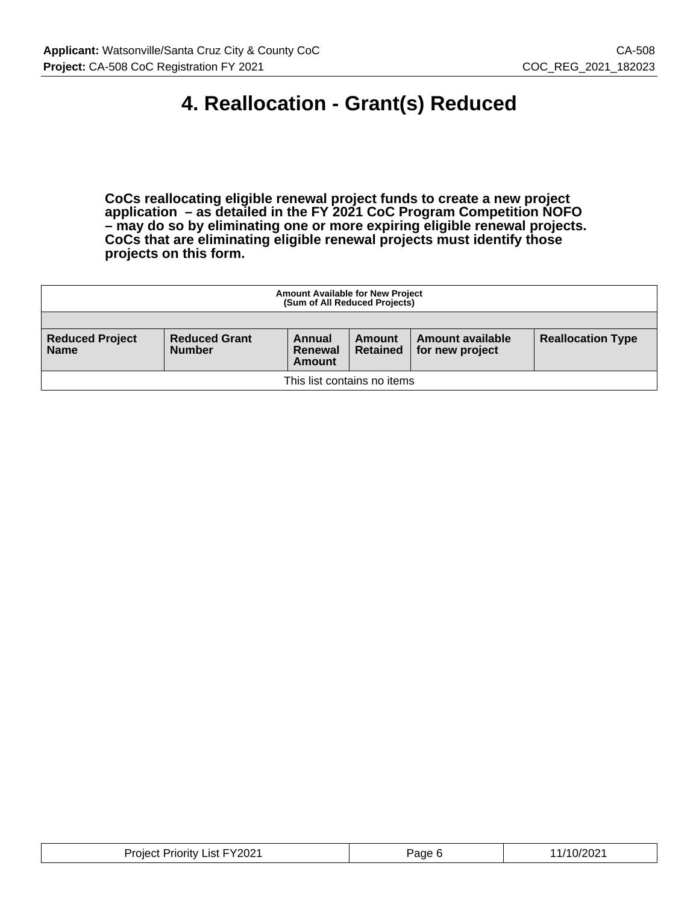### **4. Reallocation - Grant(s) Reduced**

**CoCs reallocating eligible renewal project funds to create a new project application – as detailed in the FY 2021 CoC Program Competition NOFO – may do so by eliminating one or more expiring eligible renewal projects. CoCs that are eliminating eligible renewal projects must identify those projects on this form.**

| <b>Amount Available for New Project</b><br>(Sum of All Reduced Projects) |                                       |                             |                           |                                     |                          |
|--------------------------------------------------------------------------|---------------------------------------|-----------------------------|---------------------------|-------------------------------------|--------------------------|
|                                                                          |                                       |                             |                           |                                     |                          |
| <b>Reduced Project</b><br><b>Name</b>                                    | <b>Reduced Grant</b><br><b>Number</b> | Annual<br>Renewal<br>Amount | Amount<br><b>Retained</b> | Amount available<br>for new project | <b>Reallocation Type</b> |
| This list contains no items                                              |                                       |                             |                           |                                     |                          |

| <b>Project Priority List FY2021</b> | Page 6 | /10/2021 |
|-------------------------------------|--------|----------|
|-------------------------------------|--------|----------|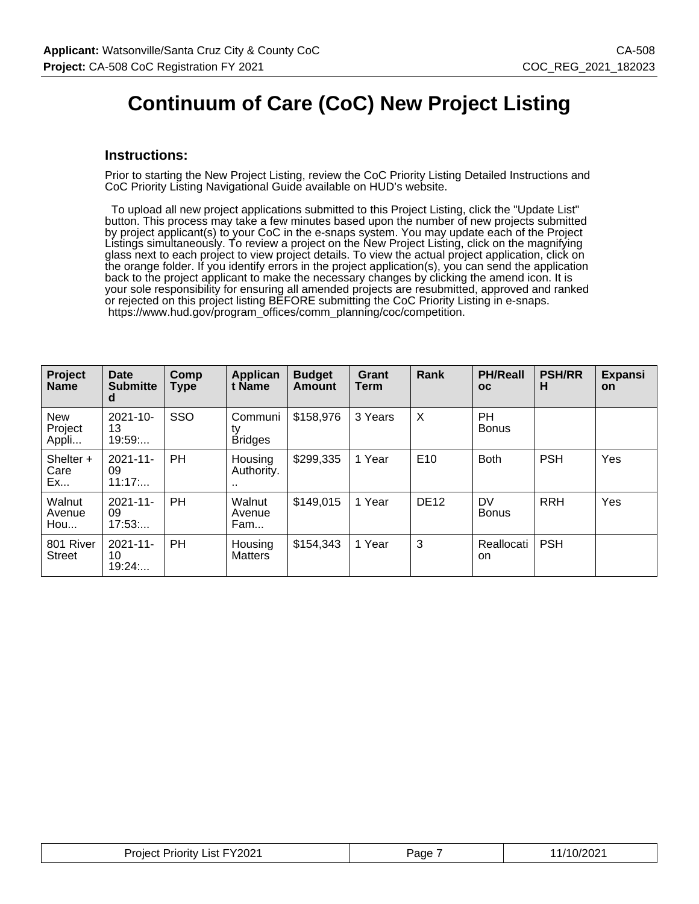### **Continuum of Care (CoC) New Project Listing**

#### **Instructions:**

Prior to starting the New Project Listing, review the CoC Priority Listing Detailed Instructions and CoC Priority Listing Navigational Guide available on HUD's website.

 To upload all new project applications submitted to this Project Listing, click the "Update List" button. This process may take a few minutes based upon the number of new projects submitted by project applicant(s) to your CoC in the e-snaps system. You may update each of the Project Listings simultaneously. To review a project on the New Project Listing, click on the magnifying glass next to each project to view project details. To view the actual project application, click on the orange folder. If you identify errors in the project application(s), you can send the application back to the project applicant to make the necessary changes by clicking the amend icon. It is your sole responsibility for ensuring all amended projects are resubmitted, approved and ranked or rejected on this project listing BEFORE submitting the CoC Priority Listing in e-snaps. https://www.hud.gov/program\_offices/comm\_planning/coc/competition.

| Project<br><b>Name</b>         | Date<br><b>Submitte</b><br>d  | Comp<br><b>Type</b> | <b>Applican</b><br>t Name       | <b>Budget</b><br><b>Amount</b> | Grant<br>Term | Rank            | <b>PH/Reall</b><br><b>OC</b> | <b>PSH/RR</b><br>н | <b>Expansi</b><br><b>on</b> |
|--------------------------------|-------------------------------|---------------------|---------------------------------|--------------------------------|---------------|-----------------|------------------------------|--------------------|-----------------------------|
| <b>New</b><br>Project<br>Appli | $2021 - 10 -$<br>13<br>19:59: | SSO                 | Communi<br>ty<br><b>Bridges</b> | \$158,976                      | 3 Years       | X               | <b>PH</b><br><b>Bonus</b>    |                    |                             |
| Shelter +<br>Care<br>Ex        | $2021 - 11$<br>09<br>11:17    | <b>PH</b>           | Housing<br>Authority.<br>       | \$299,335                      | 1 Year        | E <sub>10</sub> | <b>Both</b>                  | <b>PSH</b>         | Yes                         |
| Walnut<br>Avenue<br>How        | $2021 - 11$<br>09<br>17:53    | <b>PH</b>           | Walnut<br>Avenue<br>Fam         | \$149,015                      | 1 Year        | <b>DE12</b>     | <b>DV</b><br><b>Bonus</b>    | <b>RRH</b>         | Yes                         |
| 801 River<br><b>Street</b>     | $2021 - 11$<br>10<br>19:24    | <b>PH</b>           | Housing<br><b>Matters</b>       | \$154,343                      | 1 Year        | 3               | Reallocati<br>on.            | <b>PSH</b>         |                             |

| Project Priority List FY2021 | Page | 1/10/2021 |
|------------------------------|------|-----------|
|------------------------------|------|-----------|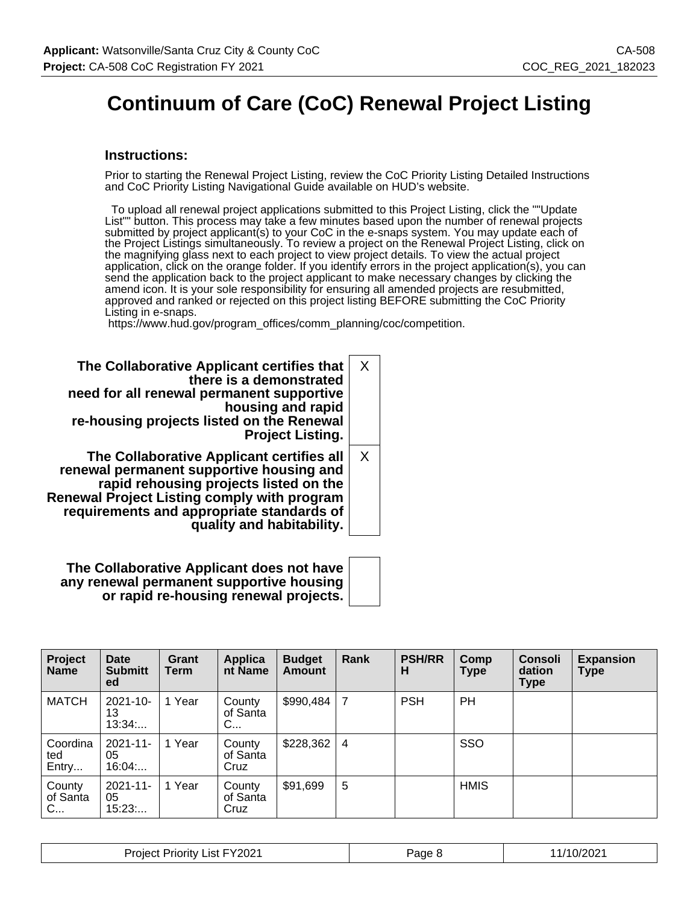## **Continuum of Care (CoC) Renewal Project Listing**

#### **Instructions:**

Prior to starting the Renewal Project Listing, review the CoC Priority Listing Detailed Instructions and CoC Priority Listing Navigational Guide available on HUD's website.

 To upload all renewal project applications submitted to this Project Listing, click the ""Update List"" button. This process may take a few minutes based upon the number of renewal projects submitted by project applicant(s) to your CoC in the e-snaps system. You may update each of the Project Listings simultaneously. To review a project on the Renewal Project Listing, click on the magnifying glass next to each project to view project details. To view the actual project application, click on the orange folder. If you identify errors in the project application(s), you can send the application back to the project applicant to make necessary changes by clicking the amend icon. It is your sole responsibility for ensuring all amended projects are resubmitted, approved and ranked or rejected on this project listing BEFORE submitting the CoC Priority Listing in e-snaps.

https://www.hud.gov/program\_offices/comm\_planning/coc/competition.

| The Collaborative Applicant certifies that<br>there is a demonstrated<br>need for all renewal permanent supportive<br>housing and rapid<br>re-housing projects listed on the Renewal<br><b>Project Listing.</b>                                                 | $\times$ |
|-----------------------------------------------------------------------------------------------------------------------------------------------------------------------------------------------------------------------------------------------------------------|----------|
| The Collaborative Applicant certifies all<br>renewal permanent supportive housing and<br>rapid rehousing projects listed on the<br><b>Renewal Project Listing comply with program</b><br>requirements and appropriate standards of<br>quality and habitability. | X        |

**The Collaborative Applicant does not have any renewal permanent supportive housing or rapid re-housing renewal projects.**

| Project<br><b>Name</b>   | Date<br><b>Submitt</b><br>ed | Grant<br>Term | Applica<br>nt Name         | <b>Budget</b><br><b>Amount</b> | Rank           | <b>PSH/RR</b><br>н | Comp<br><b>Type</b> | <b>Consoli</b><br>dation<br>Type | <b>Expansion</b><br><b>Type</b> |
|--------------------------|------------------------------|---------------|----------------------------|--------------------------------|----------------|--------------------|---------------------|----------------------------------|---------------------------------|
| <b>MATCH</b>             | 2021-10-<br>13<br>13:34      | 1 Year        | County<br>of Santa<br>C    | \$990,484                      | $\overline{7}$ | <b>PSH</b>         | PH                  |                                  |                                 |
| Coordina<br>ted<br>Entry | 2021-11-<br>05<br>16:04      | 1 Year        | County<br>of Santa<br>Cruz | \$228,362                      | -4             |                    | SSO                 |                                  |                                 |
| County<br>of Santa<br>C  | $2021 - 11 -$<br>05<br>15:23 | 1 Year        | County<br>of Santa<br>Cruz | \$91,699                       | 5              |                    | <b>HMIS</b>         |                                  |                                 |

| <b>Project Priority List FY2021</b> | Page P | /10/2021 |
|-------------------------------------|--------|----------|
|-------------------------------------|--------|----------|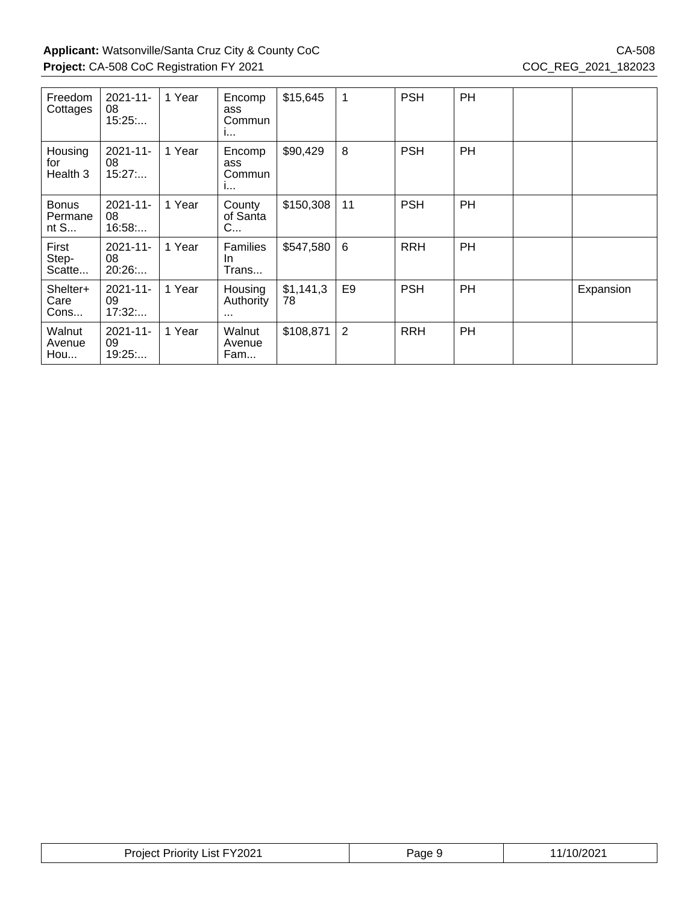| Freedom<br>Cottages             | $2021 - 11$<br>08<br>15:25   | 1 Year | Encomp<br>ass<br>Commun<br>$\mathbf{I}$ | \$15,645        | 1              | <b>PSH</b> | <b>PH</b> |           |
|---------------------------------|------------------------------|--------|-----------------------------------------|-----------------|----------------|------------|-----------|-----------|
| Housing<br>for<br>Health 3      | $2021 - 11 -$<br>08<br>15:27 | 1 Year | Encomp<br>ass<br>Commun<br>1.           | \$90,429        | 8              | <b>PSH</b> | <b>PH</b> |           |
| <b>Bonus</b><br>Permane<br>nt S | $2021 - 11 -$<br>08<br>16:58 | 1 Year | County<br>of Santa<br>C                 | \$150,308       | 11             | <b>PSH</b> | <b>PH</b> |           |
| First<br>Step-<br>Scatte        | $2021 - 11 -$<br>08<br>20:26 | 1 Year | <b>Families</b><br>In.<br>Trans         | \$547,580       | 6              | <b>RRH</b> | PH        |           |
| Shelter+<br>Care<br>Cons        | $2021 - 11$<br>09<br>17:32   | 1 Year | Housing<br>Authority<br>$\cdots$        | \$1,141,3<br>78 | E <sub>9</sub> | <b>PSH</b> | PH        | Expansion |
| Walnut<br>Avenue<br>Hou         | $2021 - 11 -$<br>09<br>19:25 | 1 Year | Walnut<br>Avenue<br>Fam                 | \$108,871       | 2              | <b>RRH</b> | PH        |           |

| Jrr<br>v<br>.IS1<br>ΠU<br>niei<br>ו טוי<br>WZ. | 'ane | ാറ്<br>. . |
|------------------------------------------------|------|------------|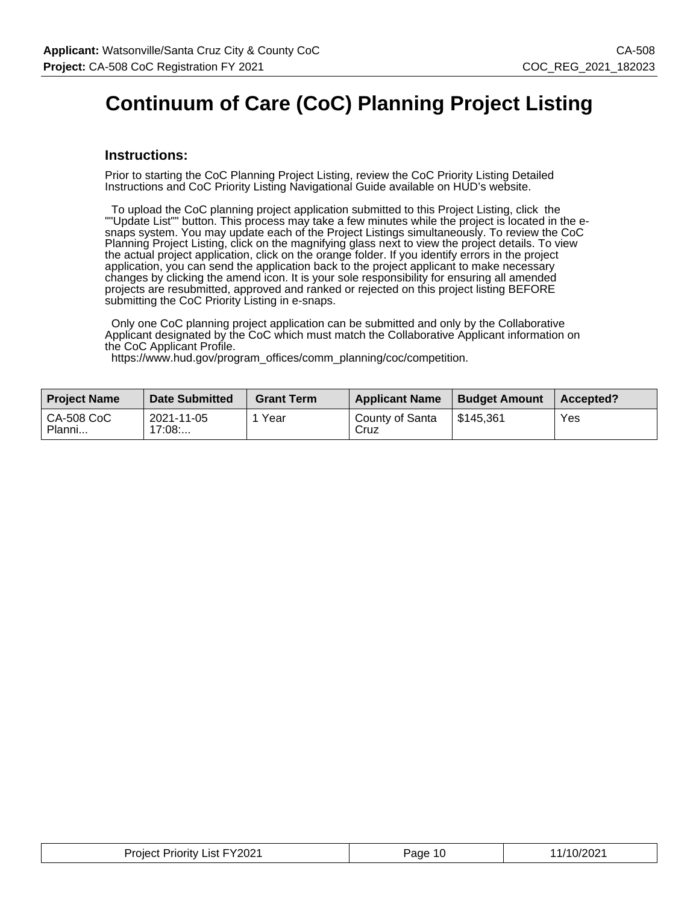## **Continuum of Care (CoC) Planning Project Listing**

#### **Instructions:**

Prior to starting the CoC Planning Project Listing, review the CoC Priority Listing Detailed Instructions and CoC Priority Listing Navigational Guide available on HUD's website.

 To upload the CoC planning project application submitted to this Project Listing, click the ""Update List"" button. This process may take a few minutes while the project is located in the esnaps system. You may update each of the Project Listings simultaneously. To review the CoC Planning Project Listing, click on the magnifying glass next to view the project details. To view the actual project application, click on the orange folder. If you identify errors in the project application, you can send the application back to the project applicant to make necessary changes by clicking the amend icon. It is your sole responsibility for ensuring all amended projects are resubmitted, approved and ranked or rejected on this project listing BEFORE submitting the CoC Priority Listing in e-snaps.

 Only one CoC planning project application can be submitted and only by the Collaborative Applicant designated by the CoC which must match the Collaborative Applicant information on the CoC Applicant Profile.

https://www.hud.gov/program\_offices/comm\_planning/coc/competition.

| <b>Project Name</b>  | <b>Date Submitted</b> | <b>Grant Term</b> | <b>Applicant Name</b>   | <b>Budget Amount</b> | Accepted? |
|----------------------|-----------------------|-------------------|-------------------------|----------------------|-----------|
| CA-508 CoC<br>Planni | 2021-11-05<br>17:08   | Year              | County of Santa<br>Cruz | \$145.361            | Yes       |

| <b>Project Priority List FY2021</b> | Page 10 | 11/10/2021 |
|-------------------------------------|---------|------------|
|-------------------------------------|---------|------------|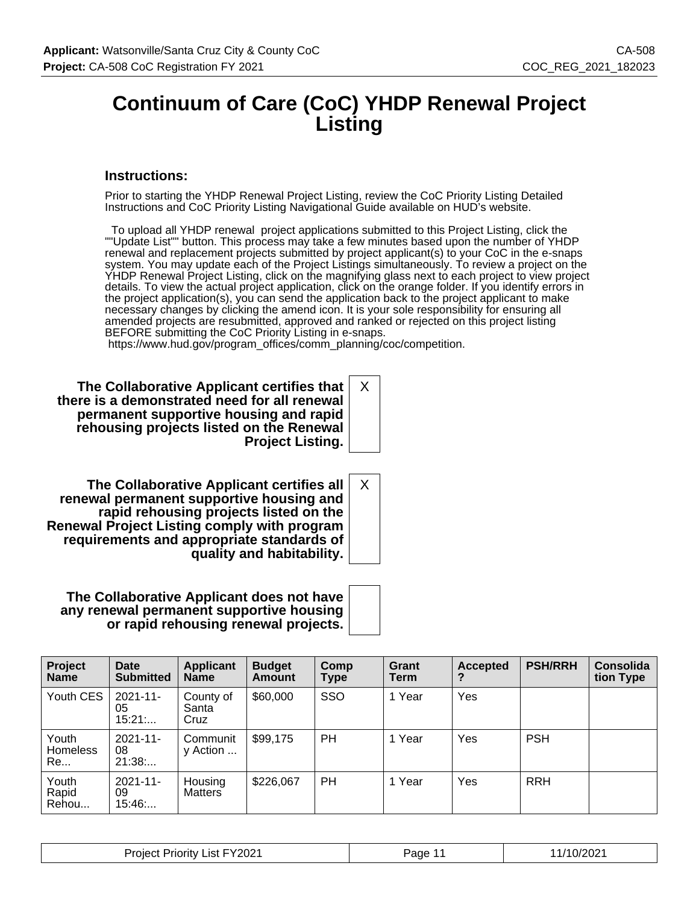### **Continuum of Care (CoC) YHDP Renewal Project Listing**

#### **Instructions:**

Prior to starting the YHDP Renewal Project Listing, review the CoC Priority Listing Detailed Instructions and CoC Priority Listing Navigational Guide available on HUD's website.

 To upload all YHDP renewal project applications submitted to this Project Listing, click the ""Update List"" button. This process may take a few minutes based upon the number of YHDP renewal and replacement projects submitted by project applicant(s) to your CoC in the e-snaps system. You may update each of the Project Listings simultaneously. To review a project on the YHDP Renewal Project Listing, click on the magnifying glass next to each project to view project details. To view the actual project application, click on the orange folder. If you identify errors in the project application(s), you can send the application back to the project applicant to make necessary changes by clicking the amend icon. It is your sole responsibility for ensuring all amended projects are resubmitted, approved and ranked or rejected on this project listing BEFORE submitting the CoC Priority Listing in e-snaps.

X

X

https://www.hud.gov/program\_offices/comm\_planning/coc/competition.

**The Collaborative Applicant certifies that there is a demonstrated need for all renewal permanent supportive housing and rapid rehousing projects listed on the Renewal Project Listing.**

**The Collaborative Applicant certifies all renewal permanent supportive housing and rapid rehousing projects listed on the Renewal Project Listing comply with program requirements and appropriate standards of quality and habitability.**

**The Collaborative Applicant does not have any renewal permanent supportive housing or rapid rehousing renewal projects.**

| Project<br><b>Name</b>         | Date<br><b>Submitted</b>     | <b>Applicant</b><br><b>Name</b> | <b>Budget</b><br><b>Amount</b> | Comp<br>Type | Grant<br>Term | <b>Accepted</b> | <b>PSH/RRH</b> | <b>Consolida</b><br>tion Type |
|--------------------------------|------------------------------|---------------------------------|--------------------------------|--------------|---------------|-----------------|----------------|-------------------------------|
| Youth CES                      | $2021 - 11$<br>05<br>15:21   | County of<br>Santa<br>Cruz      | \$60,000                       | SSO          | 1 Year        | Yes             |                |                               |
| Youth<br><b>Homeless</b><br>Re | $2021 - 11 -$<br>08<br>21:38 | Communit<br>y Action            | \$99,175                       | PH           | 1 Year        | Yes             | <b>PSH</b>     |                               |
| Youth<br>Rapid<br>Rehou        | $2021 - 11$<br>09<br>15:46   | Housing<br><b>Matters</b>       | \$226,067                      | PH           | 1 Year        | Yes             | <b>RRH</b>     |                               |

| $-Y2021$<br>Project<br>List<br>Priority. | Page | .0/2021<br>.UZ |
|------------------------------------------|------|----------------|
|------------------------------------------|------|----------------|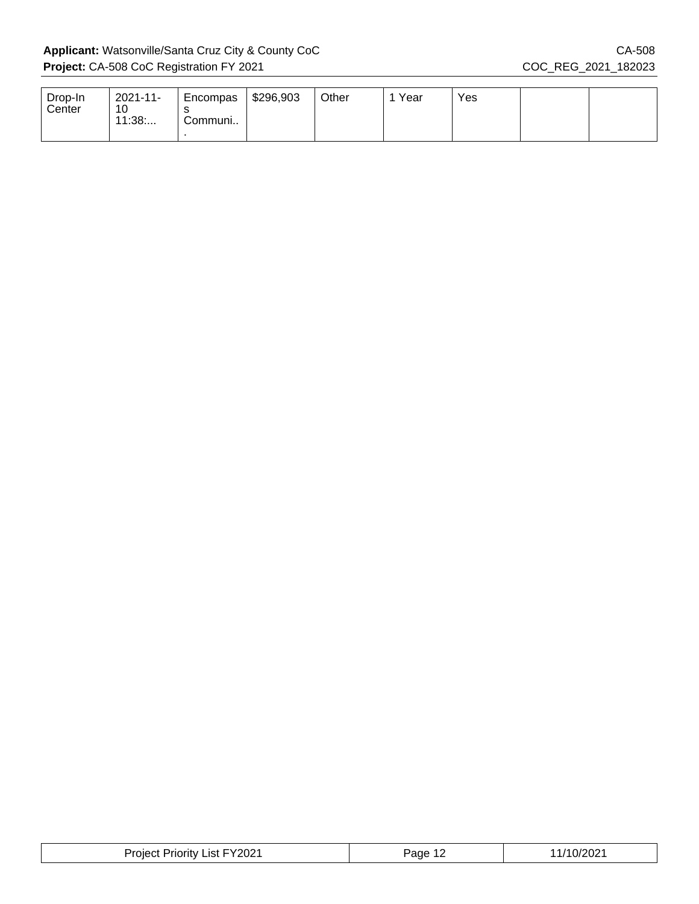$\mathbb{L}$ 

| Drop-In<br>Center | 2021-11-<br>10<br>11:38 | Encompas<br>Communi | \$296,903 | Other | Year | Yes |  |
|-------------------|-------------------------|---------------------|-----------|-------|------|-----|--|
|                   |                         |                     |           |       |      |     |  |

| Project Priority List FY2021 | Page 1 <sup>o</sup> | 1/10/2021 |
|------------------------------|---------------------|-----------|
|------------------------------|---------------------|-----------|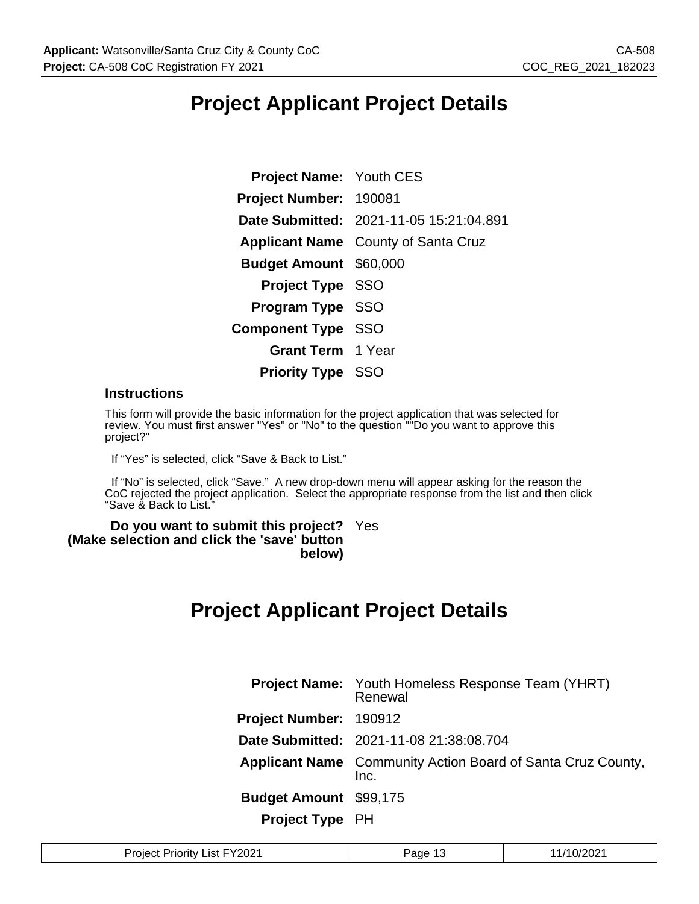### **Project Applicant Project Details**

| <b>Project Name: Youth CES</b> |                                            |
|--------------------------------|--------------------------------------------|
| Project Number: 190081         |                                            |
|                                | Date Submitted: 2021-11-05 15:21:04.891    |
|                                | <b>Applicant Name</b> County of Santa Cruz |
| <b>Budget Amount \$60,000</b>  |                                            |
| <b>Project Type SSO</b>        |                                            |
| Program Type SSO               |                                            |
| <b>Component Type SSO</b>      |                                            |
| <b>Grant Term</b> 1 Year       |                                            |
| <b>Priority Type SSO</b>       |                                            |

#### **Instructions**

This form will provide the basic information for the project application that was selected for review. You must first answer "Yes" or "No" to the question ""Do you want to approve this project?"

If "Yes" is selected, click "Save & Back to List."

 If "No" is selected, click "Save." A new drop-down menu will appear asking for the reason the CoC rejected the project application. Select the appropriate response from the list and then click "Save & Back to List."

#### **Do you want to submit this project?** Yes **(Make selection and click the 'save' button below)**

### **Project Applicant Project Details**

|                               | <b>Project Name:</b> Youth Homeless Response Team (YHRT)<br>Renewal        |
|-------------------------------|----------------------------------------------------------------------------|
| Project Number: 190912        |                                                                            |
|                               | Date Submitted: 2021-11-08 21:38:08.704                                    |
|                               | <b>Applicant Name</b> Community Action Board of Santa Cruz County,<br>Inc. |
| <b>Budget Amount \$99,175</b> |                                                                            |
| <b>Project Type PH</b>        |                                                                            |

| Y2021 <sup>.</sup><br>0/2021<br>1.0.1.0<br>.ıst.<br>age<br>Priority<br>TOIF.<br>$\mathbf{U}$<br>ں ا<br>. |  |
|----------------------------------------------------------------------------------------------------------|--|
|----------------------------------------------------------------------------------------------------------|--|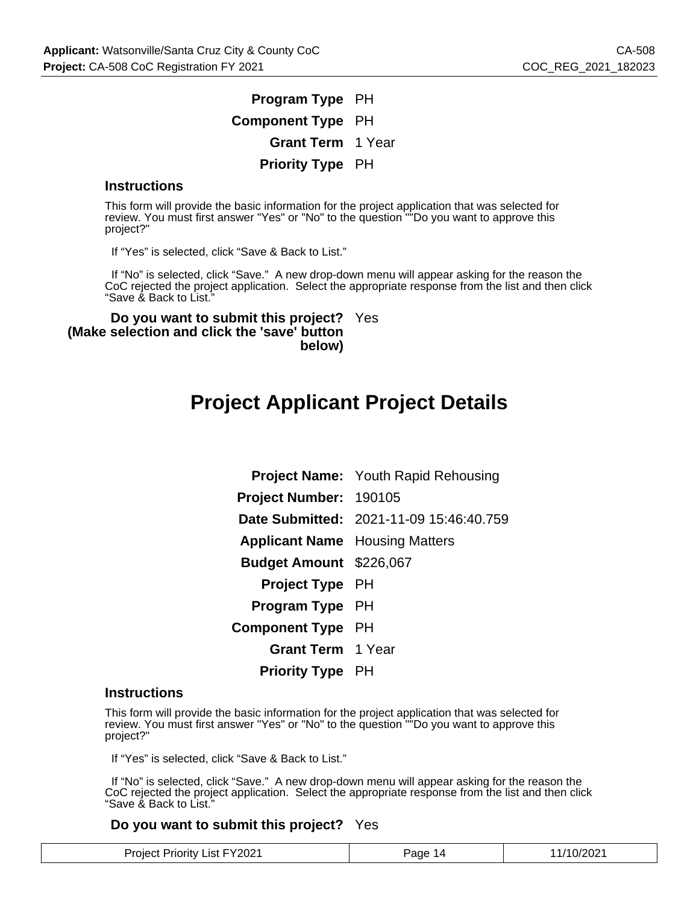### **Program Type** PH **Component Type** PH **Grant Term** 1 Year **Priority Type** PH

#### **Instructions**

This form will provide the basic information for the project application that was selected for review. You must first answer "Yes" or "No" to the question ""Do you want to approve this project?"

If "Yes" is selected, click "Save & Back to List."

 If "No" is selected, click "Save." A new drop-down menu will appear asking for the reason the CoC rejected the project application. Select the appropriate response from the list and then click "Save & Back to List."

**Do you want to submit this project?** Yes **(Make selection and click the 'save' button below)**

### **Project Applicant Project Details**

|                                       | <b>Project Name:</b> Youth Rapid Rehousing |
|---------------------------------------|--------------------------------------------|
| Project Number: 190105                |                                            |
|                                       | Date Submitted: 2021-11-09 15:46:40.759    |
| <b>Applicant Name</b> Housing Matters |                                            |
| <b>Budget Amount</b> \$226,067        |                                            |
| <b>Project Type</b> PH                |                                            |
| <b>Program Type PH</b>                |                                            |
| <b>Component Type PH</b>              |                                            |
| <b>Grant Term</b> 1 Year              |                                            |
| <b>Priority Type</b> PH               |                                            |

#### **Instructions**

This form will provide the basic information for the project application that was selected for review. You must first answer "Yes" or "No" to the question ""Do you want to approve this project?"

If "Yes" is selected, click "Save & Back to List."

 If "No" is selected, click "Save." A new drop-down menu will appear asking for the reason the CoC rejected the project application. Select the appropriate response from the list and then click "Save & Back to List."

#### **Do you want to submit this project?** Yes

| <b>Project Priority List FY2021</b> | Page 14 | 11/10/2021 |
|-------------------------------------|---------|------------|
|-------------------------------------|---------|------------|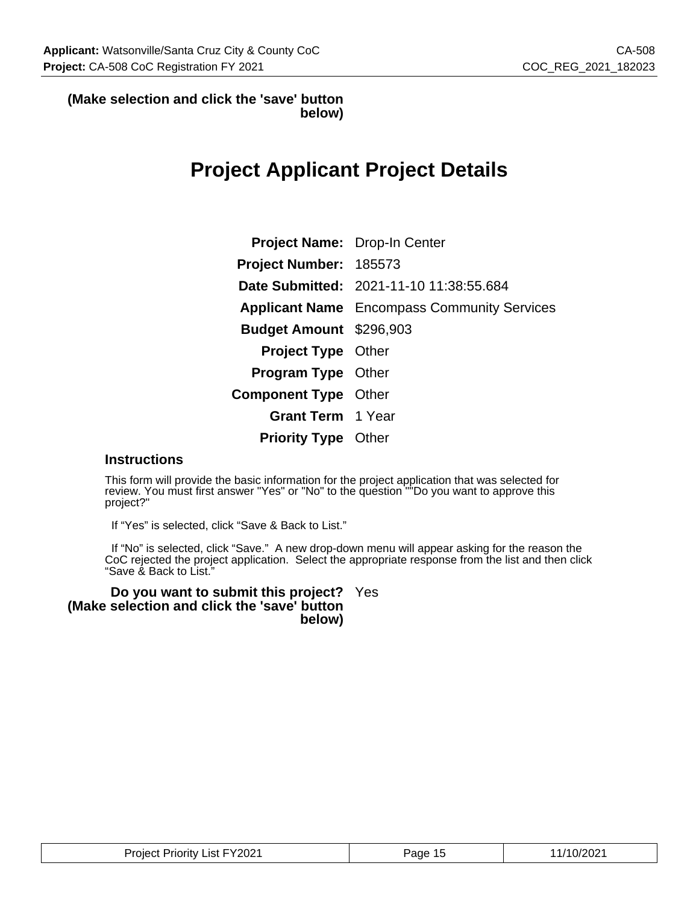#### **(Make selection and click the 'save' button below)**

### **Project Applicant Project Details**

| <b>Project Name:</b> Drop-In Center |                                                    |
|-------------------------------------|----------------------------------------------------|
| <b>Project Number: 185573</b>       |                                                    |
|                                     | Date Submitted: 2021-11-10 11:38:55.684            |
|                                     | <b>Applicant Name</b> Encompass Community Services |
| <b>Budget Amount</b> \$296,903      |                                                    |
| <b>Project Type Other</b>           |                                                    |
| <b>Program Type Other</b>           |                                                    |
| <b>Component Type Other</b>         |                                                    |
| <b>Grant Term</b> 1 Year            |                                                    |
| <b>Priority Type</b> Other          |                                                    |

#### **Instructions**

This form will provide the basic information for the project application that was selected for review. You must first answer "Yes" or "No" to the question ""Do you want to approve this project?"

If "Yes" is selected, click "Save & Back to List."

 If "No" is selected, click "Save." A new drop-down menu will appear asking for the reason the CoC rejected the project application. Select the appropriate response from the list and then click "Save & Back to List."

**Do you want to submit this project?** Yes **(Make selection and click the 'save' button below)**

| <b>Project Priority List FY2021</b> | Page 15 | 11/10/2021 |
|-------------------------------------|---------|------------|
|-------------------------------------|---------|------------|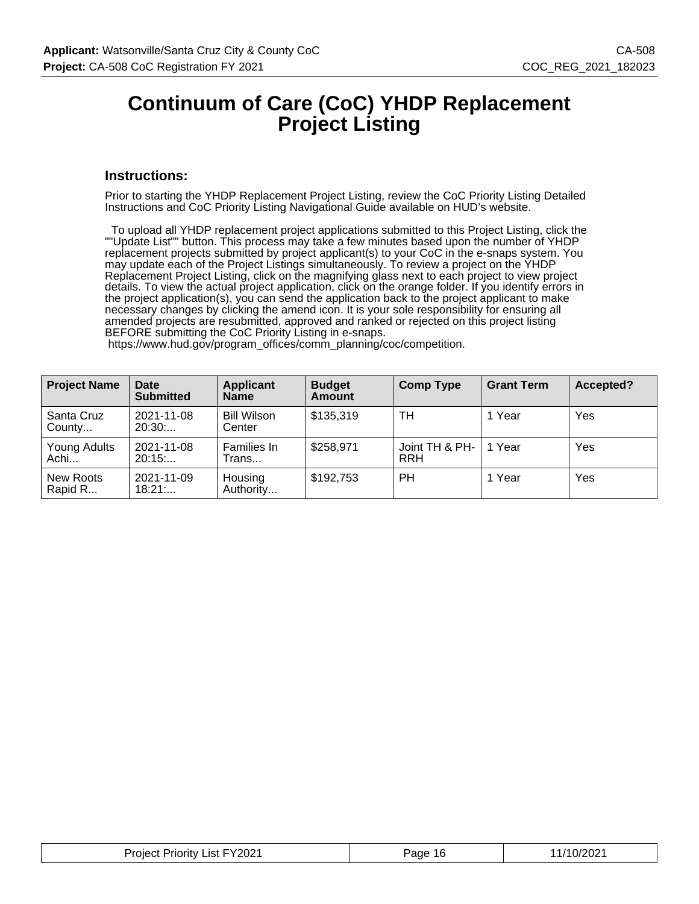### **Continuum of Care (CoC) YHDP Replacement Project Listing**

#### **Instructions:**

Prior to starting the YHDP Replacement Project Listing, review the CoC Priority Listing Detailed Instructions and CoC Priority Listing Navigational Guide available on HUD's website.

 To upload all YHDP replacement project applications submitted to this Project Listing, click the ""Update List"" button. This process may take a few minutes based upon the number of YHDP replacement projects submitted by project applicant(s) to your CoC in the e-snaps system. You may update each of the Project Listings simultaneously. To review a project on the YHDP Replacement Project Listing, click on the magnifying glass next to each project to view project details. To view the actual project application, click on the orange folder. If you identify errors in the project application(s), you can send the application back to the project applicant to make necessary changes by clicking the amend icon. It is your sole responsibility for ensuring all amended projects are resubmitted, approved and ranked or rejected on this project listing BEFORE submitting the CoC Priority Listing in e-snaps.

| <b>Project Name</b>  | <b>Date</b><br><b>Submitted</b> | <b>Applicant</b><br><b>Name</b> | <b>Budget</b><br>Amount | <b>Comp Type</b>             | <b>Grant Term</b> | Accepted? |
|----------------------|---------------------------------|---------------------------------|-------------------------|------------------------------|-------------------|-----------|
| Santa Cruz<br>County | 2021-11-08<br>20:30             | <b>Bill Wilson</b><br>Center    | \$135,319               | TН                           | 1 Year            | Yes       |
| Young Adults<br>Achi | 2021-11-08<br>20:15             | Families In<br>Гrans            | \$258,971               | Joint TH & PH-<br><b>RRH</b> | 1 Year            | Yes       |
| New Roots<br>Rapid R | 2021-11-09<br>18:21             | Housing<br>Authority            | \$192,753               | <b>PH</b>                    | 1 Year            | Yes       |

https://www.hud.gov/program\_offices/comm\_planning/coc/competition.

| Project Priority List FY2021 | -16<br>Page | 11/10/2021 |
|------------------------------|-------------|------------|
|------------------------------|-------------|------------|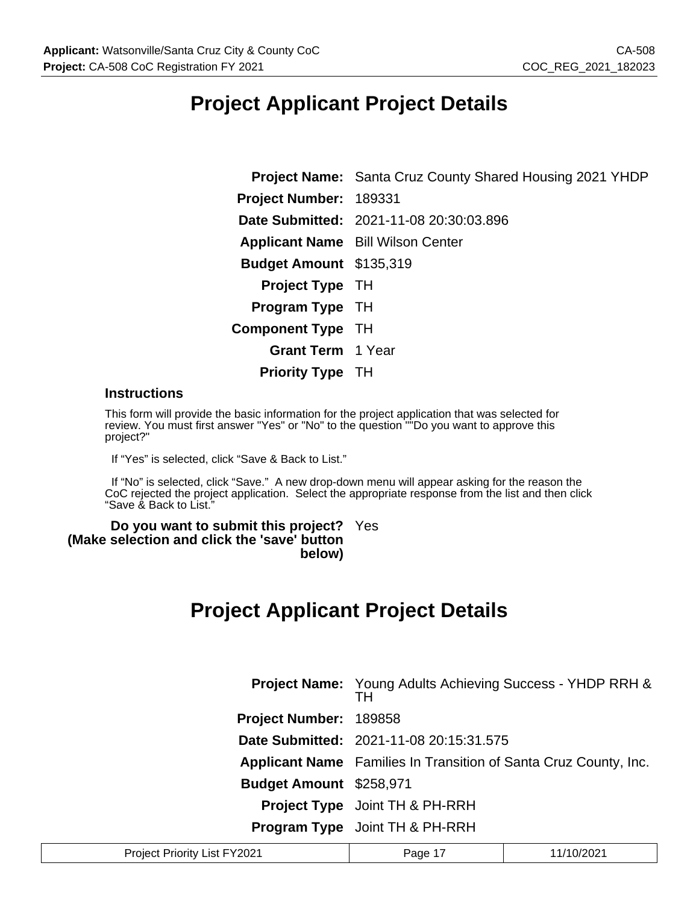### **Project Applicant Project Details**

**Project Name:** Santa Cruz County Shared Housing 2021 YHDP **Project Number:** 189331 **Date Submitted:** 2021-11-08 20:30:03.896 **Applicant Name** Bill Wilson Center **Budget Amount** \$135,319 **Project Type** TH **Program Type** TH **Component Type** TH **Grant Term** 1 Year **Priority Type** TH

#### **Instructions**

This form will provide the basic information for the project application that was selected for review. You must first answer "Yes" or "No" to the question "<sup>"</sup>Do you want to approve this project?"

If "Yes" is selected, click "Save & Back to List."

 If "No" is selected, click "Save." A new drop-down menu will appear asking for the reason the CoC rejected the project application. Select the appropriate response from the list and then click "Save & Back to List."

#### **Do you want to submit this project?** Yes **(Make selection and click the 'save' button below)**

### **Project Applicant Project Details**

|                         | <b>Project Name:</b> Young Adults Achieving Success - YHDP RRH &<br>тн  |
|-------------------------|-------------------------------------------------------------------------|
| Project Number: 189858  |                                                                         |
|                         | <b>Date Submitted: 2021-11-08 20:15:31.575</b>                          |
|                         | <b>Applicant Name</b> Families In Transition of Santa Cruz County, Inc. |
| Budget Amount \$258,971 |                                                                         |
|                         | <b>Project Type</b> Joint TH & PH-RRH                                   |
|                         | <b>Program Type</b> Joint TH & PH-RRH                                   |

| Project Priority List FY2021 | Page $1^-$ | 11/10/2021 |
|------------------------------|------------|------------|
|------------------------------|------------|------------|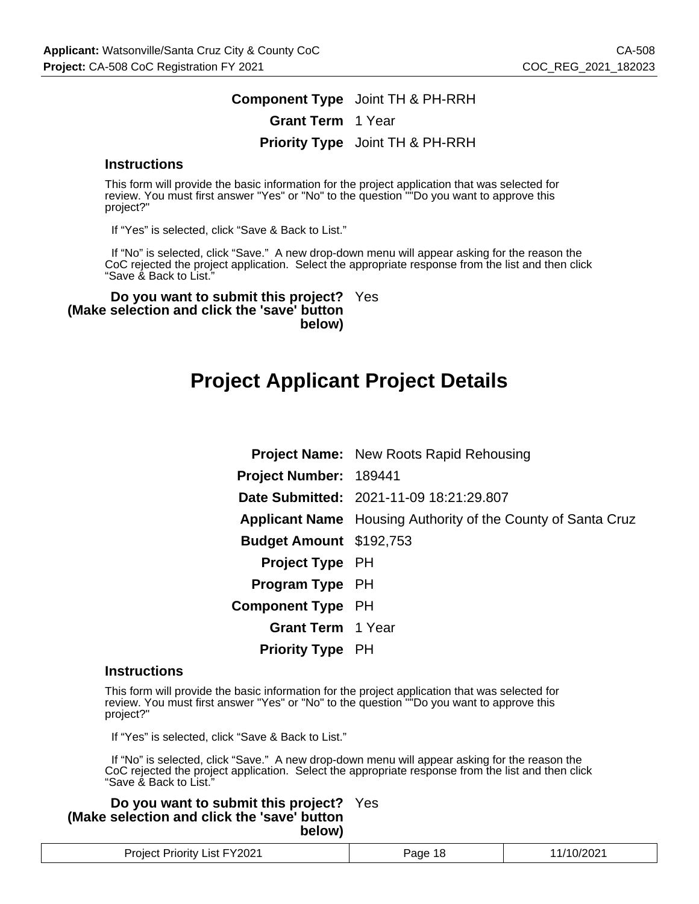### **Component Type** Joint TH & PH-RRH **Grant Term** 1 Year **Priority Type** Joint TH & PH-RRH

#### **Instructions**

This form will provide the basic information for the project application that was selected for review. You must first answer "Yes" or "No" to the question ""Do you want to approve this project?"

If "Yes" is selected, click "Save & Back to List."

 If "No" is selected, click "Save." A new drop-down menu will appear asking for the reason the CoC rejected the project application. Select the appropriate response from the list and then click "Save & Back to List."

**Do you want to submit this project?** Yes **(Make selection and click the 'save' button below)**

### **Project Applicant Project Details**

|                                | <b>Project Name:</b> New Roots Rapid Rehousing                      |
|--------------------------------|---------------------------------------------------------------------|
| Project Number: 189441         |                                                                     |
|                                | Date Submitted: 2021-11-09 18:21:29.807                             |
|                                | <b>Applicant Name</b> Housing Authority of the County of Santa Cruz |
| <b>Budget Amount</b> \$192,753 |                                                                     |
| <b>Project Type</b> PH         |                                                                     |
| <b>Program Type</b> PH         |                                                                     |
| <b>Component Type</b> PH       |                                                                     |
| <b>Grant Term</b> 1 Year       |                                                                     |
| <b>Priority Type PH</b>        |                                                                     |

#### **Instructions**

This form will provide the basic information for the project application that was selected for review. You must first answer "Yes" or "No" to the question "<sup>"</sup>Do you want to approve this project?"

If "Yes" is selected, click "Save & Back to List."

 If "No" is selected, click "Save." A new drop-down menu will appear asking for the reason the CoC rejected the project application. Select the appropriate response from the list and then click "Save & Back to List."

**Do you want to submit this project?** Yes **(Make selection and click the 'save' button below)**

| List FY2021<br><b>Project Priority</b> | Pane | 10/2021 |
|----------------------------------------|------|---------|
|----------------------------------------|------|---------|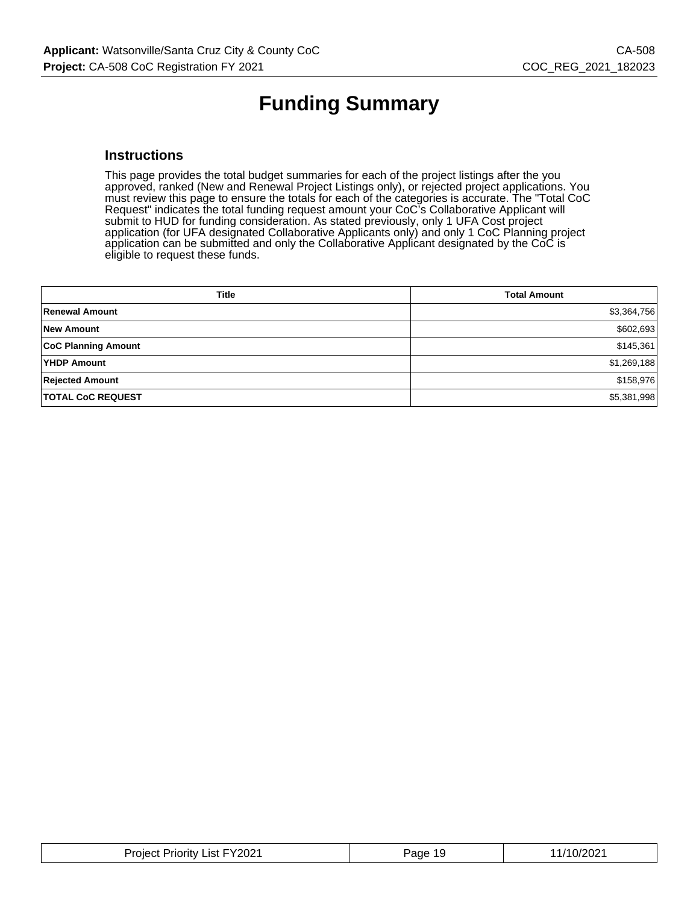# **Funding Summary**

#### **Instructions**

This page provides the total budget summaries for each of the project listings after the you approved, ranked (New and Renewal Project Listings only), or rejected project applications. You must review this page to ensure the totals for each of the categories is accurate. The "Total CoC Request" indicates the total funding request amount your CoC's Collaborative Applicant will submit to HUD for funding consideration. As stated previously, only 1 UFA Cost project application (for UFA designated Collaborative Applicants only) and only 1 CoC Planning project application can be submitted and only the Collaborative Applicant designated by the CoC is eligible to request these funds.

| <b>Title</b>               | <b>Total Amount</b> |
|----------------------------|---------------------|
| <b>Renewal Amount</b>      | \$3,364,756         |
| <b>New Amount</b>          | \$602,693           |
| <b>CoC Planning Amount</b> | \$145,361           |
| <b>YHDP Amount</b>         | \$1,269,188         |
| <b>Rejected Amount</b>     | \$158,976           |
| <b>TOTAL CoC REQUEST</b>   | \$5,381,998         |

| Project Priority List FY2021 | Page 19 | 11/10/2021 |
|------------------------------|---------|------------|
|------------------------------|---------|------------|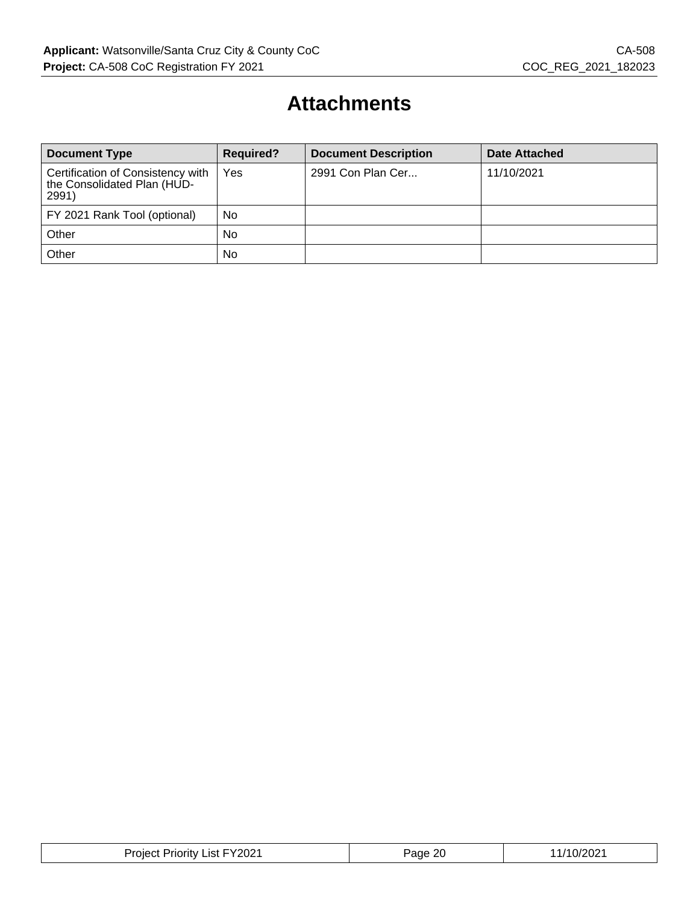### **Attachments**

| <b>Document Type</b>                                                      | <b>Required?</b> | <b>Document Description</b> | <b>Date Attached</b> |  |
|---------------------------------------------------------------------------|------------------|-----------------------------|----------------------|--|
| Certification of Consistency with<br>the Consolidated Plan (HUD-<br>2991) | Yes              | 2991 Con Plan Cer           | 11/10/2021           |  |
| FY 2021 Rank Tool (optional)                                              | No               |                             |                      |  |
| Other                                                                     | No               |                             |                      |  |
| Other                                                                     | No               |                             |                      |  |

| FY2021<br>Project<br>.ıst<br>*rioritv∴<br>__ | 2C<br>'ane∙<br>-- | $\left  \right $<br>UZ. |
|----------------------------------------------|-------------------|-------------------------|
|----------------------------------------------|-------------------|-------------------------|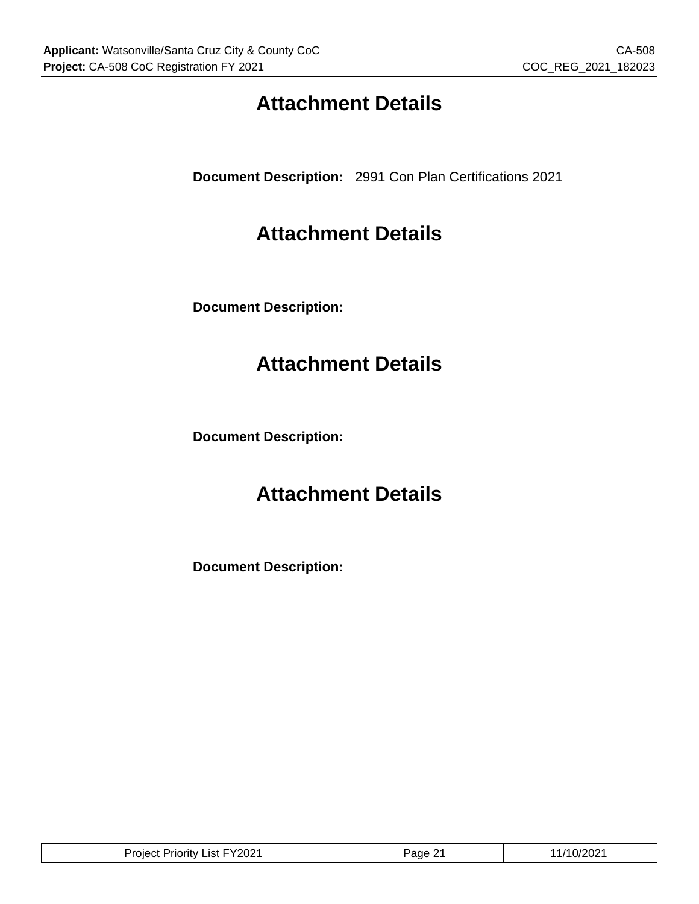# **Attachment Details**

**Document Description:** 2991 Con Plan Certifications 2021

### **Attachment Details**

**Document Description:**

## **Attachment Details**

**Document Description:**

### **Attachment Details**

**Document Description:**

| List FY2021<br>Project<br>Priority | ane. | $V < U \subset I$ |
|------------------------------------|------|-------------------|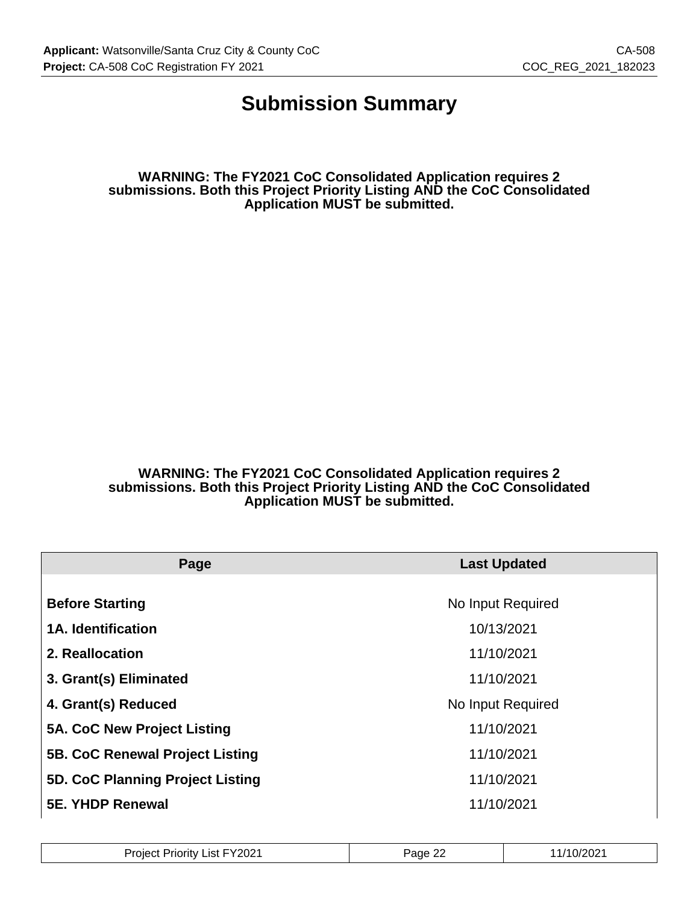### **Submission Summary**

**WARNING: The FY2021 CoC Consolidated Application requires 2 submissions. Both this Project Priority Listing AND the CoC Consolidated Application MUST be submitted.**

**WARNING: The FY2021 CoC Consolidated Application requires 2 submissions. Both this Project Priority Listing AND the CoC Consolidated Application MUST be submitted.**

| Page                                   | <b>Last Updated</b> |  |  |
|----------------------------------------|---------------------|--|--|
|                                        |                     |  |  |
| <b>Before Starting</b>                 | No Input Required   |  |  |
| <b>1A. Identification</b>              | 10/13/2021          |  |  |
| 2. Reallocation                        | 11/10/2021          |  |  |
| 3. Grant(s) Eliminated                 | 11/10/2021          |  |  |
| 4. Grant(s) Reduced                    | No Input Required   |  |  |
| 5A. CoC New Project Listing            | 11/10/2021          |  |  |
| <b>5B. CoC Renewal Project Listing</b> | 11/10/2021          |  |  |
| 5D. CoC Planning Project Listing       | 11/10/2021          |  |  |
| <b>5E. YHDP Renewal</b>                | 11/10/2021          |  |  |

| FY2021<br>List<br>Project<br>Priority L<br>______ | $\sim$<br>Page<br><u>__</u> | 10/202 |
|---------------------------------------------------|-----------------------------|--------|
|---------------------------------------------------|-----------------------------|--------|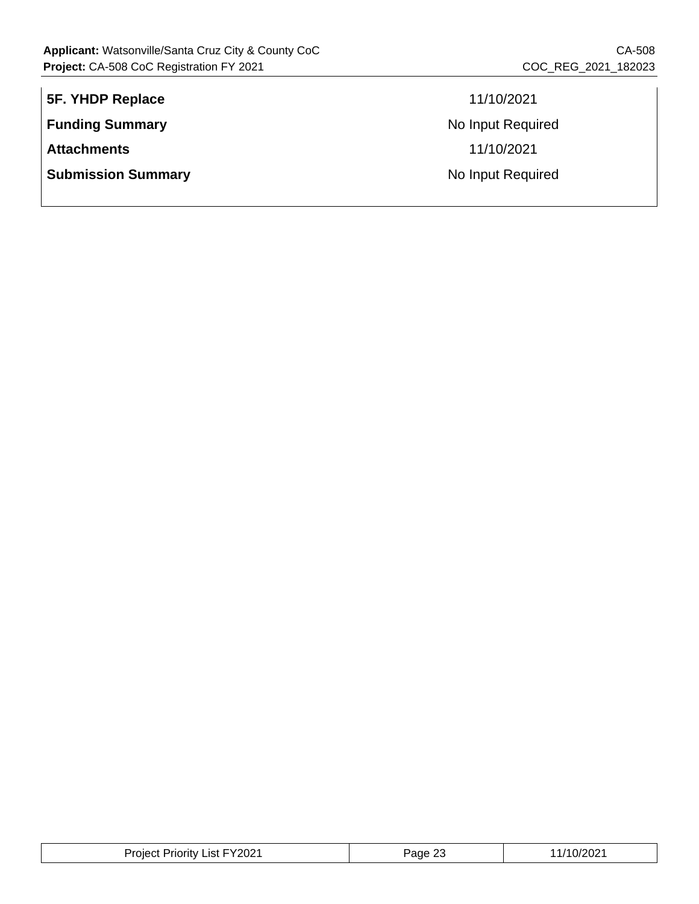| 5F. YHDP Replace          | 11/10/2021        |
|---------------------------|-------------------|
| <b>Funding Summary</b>    | No Input Required |
| <b>Attachments</b>        | 11/10/2021        |
| <b>Submission Summary</b> | No Input Required |
|                           |                   |

| Project Priority List FY2021 | ാ<br>Page 25 | 11/10/2021 |
|------------------------------|--------------|------------|
|------------------------------|--------------|------------|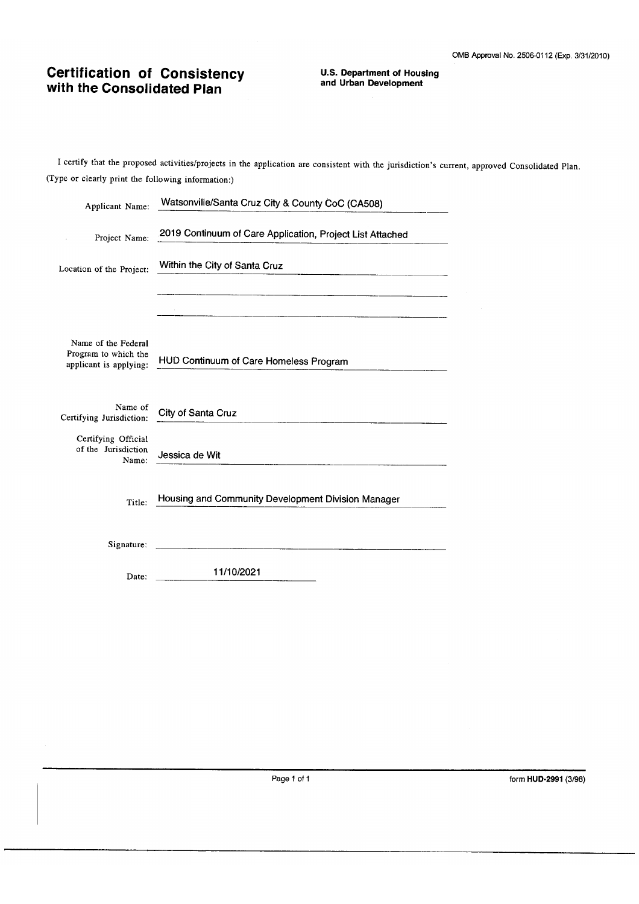# **Certification of Consistency**<br>with the Consolidated Plan

**U.S. Department of Housing** and Urban Development

I certify that the proposed activities/projects in the application are consistent with the jurisdiction's current, approved Consolidated Plan. (Type or clearly print the following information:)

| Applicant Name:                                                       | Watsonville/Santa Cruz City & County CoC (CA508)          |
|-----------------------------------------------------------------------|-----------------------------------------------------------|
| Project Name:                                                         | 2019 Continuum of Care Application, Project List Attached |
| Location of the Project:                                              | Within the City of Santa Cruz                             |
|                                                                       |                                                           |
| Name of the Federal<br>Program to which the<br>applicant is applying: | HUD Continuum of Care Homeless Program                    |
| Name of<br>Certifying Jurisdiction:                                   | City of Santa Cruz                                        |
| Certifying Official<br>of the Jurisdiction<br>Name:                   | Jessica de Wit                                            |
| Title:                                                                | Housing and Community Development Division Manager        |
| Signature:                                                            |                                                           |
| Date:                                                                 | 11/10/2021                                                |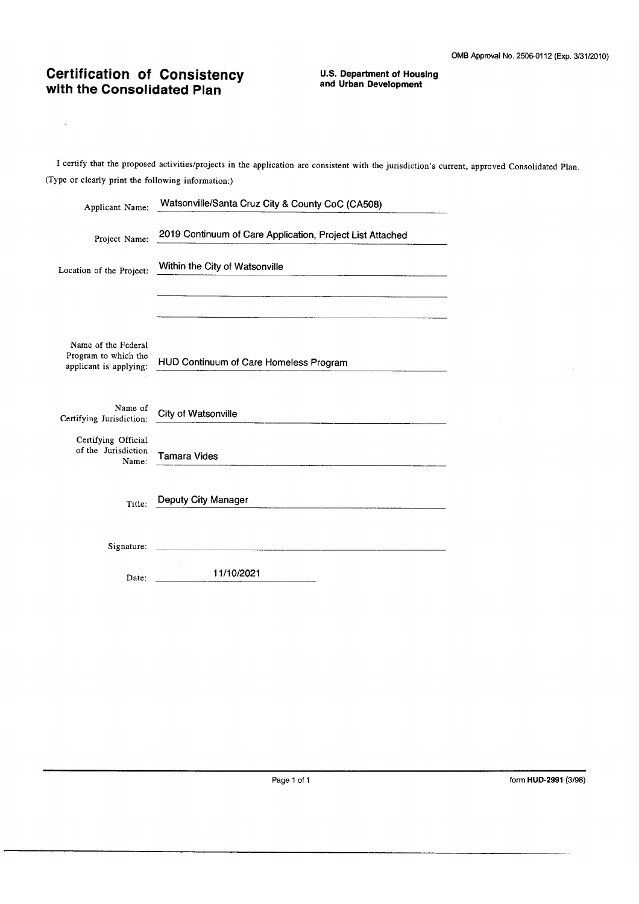# **Certification of Consistency**<br>with the Consolidated Plan

 $\mathcal{A}^{\mathcal{A}}$ 

**U.S. Department of Housing** and Urban Development

I certify that the proposed activities/projects in the application are consistent with the jurisdiction's current, approved Consolidated Plan. (Type or clearly print the following information:)

| Applicant Name:                                                       | Watsonville/Santa Cruz City & County CoC (CA508)          |
|-----------------------------------------------------------------------|-----------------------------------------------------------|
| Project Name:                                                         | 2019 Continuum of Care Application, Project List Attached |
| Location of the Project:                                              | Within the City of Watsonville                            |
|                                                                       |                                                           |
| Name of the Federal<br>Program to which the<br>applicant is applying: | HUD Continuum of Care Homeless Program                    |
| Name of<br>Certifying Jurisdiction:                                   | City of Watsonville                                       |
| Certifying Official<br>of the Jurisdiction<br>Name:                   | Tamara Vides                                              |
| Title:                                                                | Deputy City Manager                                       |
| Signature:                                                            |                                                           |
| Date:                                                                 | 11/10/2021                                                |

Page 1 of 1

form HUD-2991 (3/98)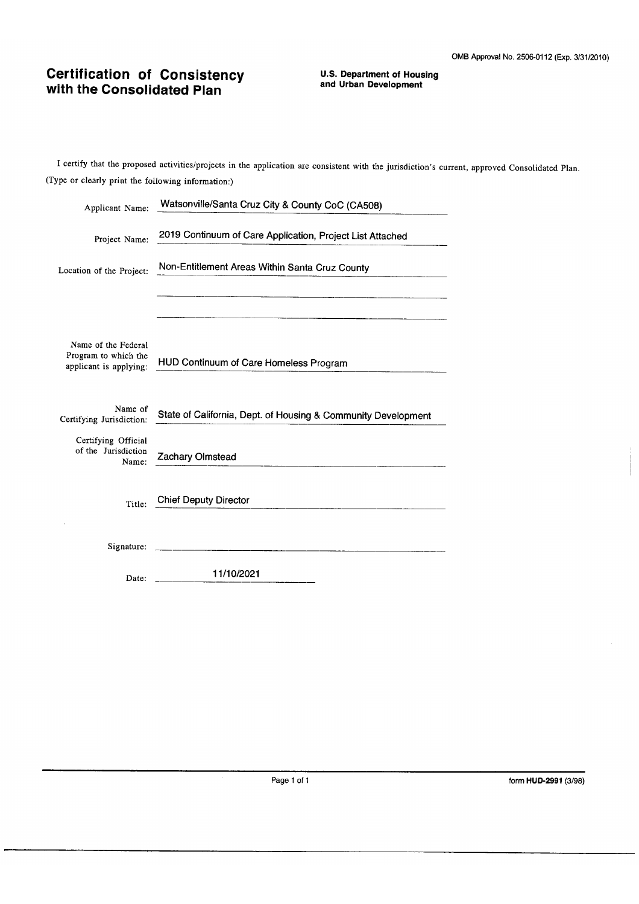# **Certification of Consistency**<br>with the Consolidated Plan

**U.S. Department of Housing** and Urban Development

I certify that the proposed activities/projects in the application are consistent with the jurisdiction's current, approved Consolidated Plan. (Type or clearly print the following information:)

| Applicant Name:                                                       | Watsonville/Santa Cruz City & County CoC (CA508)                                                                      |
|-----------------------------------------------------------------------|-----------------------------------------------------------------------------------------------------------------------|
| Project Name:                                                         | 2019 Continuum of Care Application, Project List Attached                                                             |
| Location of the Project:                                              | Non-Entitlement Areas Within Santa Cruz County                                                                        |
|                                                                       |                                                                                                                       |
| Name of the Federal<br>Program to which the<br>applicant is applying: | HUD Continuum of Care Homeless Program                                                                                |
| Name of<br>Certifying Jurisdiction:                                   | State of California, Dept. of Housing & Community Development                                                         |
| Certifying Official<br>of the Jurisdiction<br>Name:                   | Zachary Olmstead                                                                                                      |
| Title:                                                                | <b>Chief Deputy Director</b>                                                                                          |
| Signature:                                                            | <u> 1950 - Johann Barbara, martxa eta monte eta monte eta monte eta monte eta monte eta monte eta monte eta monte</u> |
| Date:                                                                 | 11/10/2021                                                                                                            |